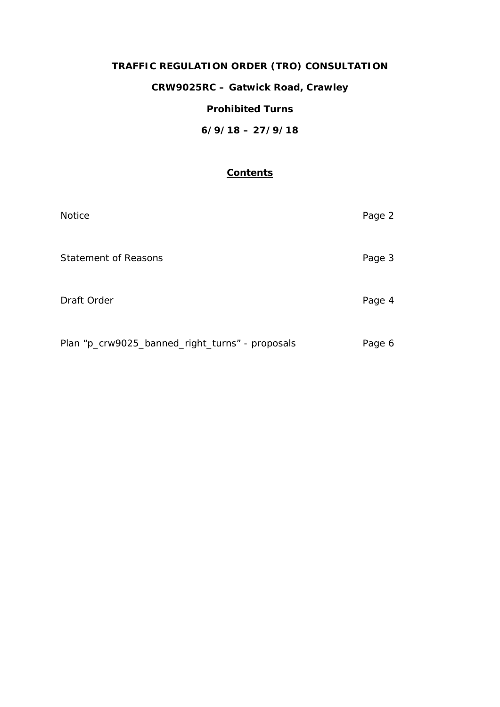# **TRAFFIC REGULATION ORDER (TRO) CONSULTATION**

**CRW9025RC – Gatwick Road, Crawley**

### **Prohibited Turns**

**6/9/18 – 27/9/18**

## **Contents**

| <b>Notice</b>                                   | Page 2 |
|-------------------------------------------------|--------|
| <b>Statement of Reasons</b>                     | Page 3 |
| Draft Order                                     | Page 4 |
| Plan "p_crw9025_banned_right_turns" - proposals | Page 6 |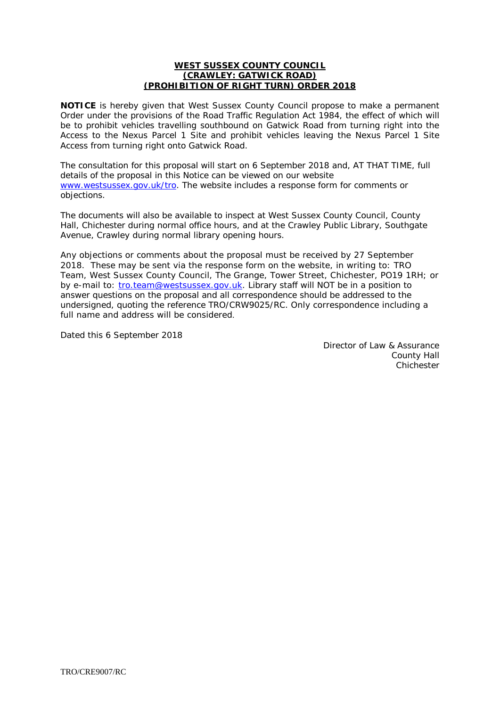#### **WEST SUSSEX COUNTY COUNCIL (CRAWLEY: GATWICK ROAD) (PROHIBITION OF RIGHT TURN) ORDER 2018**

**NOTICE** is hereby given that West Sussex County Council propose to make a permanent Order under the provisions of the Road Traffic Regulation Act 1984, the effect of which will be to prohibit vehicles travelling southbound on Gatwick Road from turning right into the Access to the Nexus Parcel 1 Site and prohibit vehicles leaving the Nexus Parcel 1 Site Access from turning right onto Gatwick Road.

The consultation for this proposal will start on 6 September 2018 and, AT THAT TIME, full details of the proposal in this Notice can be viewed on our website [www.westsussex.gov.uk/tro.](http://www.westsussex.gov.uk/tro) The website includes a response form for comments or objections.

The documents will also be available to inspect at West Sussex County Council, County Hall, Chichester during normal office hours, and at the Crawley Public Library, Southgate Avenue, Crawley during normal library opening hours.

Any objections or comments about the proposal must be received by 27 September 2018. These may be sent via the response form on the website, in writing to: TRO Team, West Sussex County Council, The Grange, Tower Street, Chichester, PO19 1RH; or by e-mail to: [tro.team@westsussex.gov.uk.](mailto:tro.team@westsussex.gov.uk) Library staff will NOT be in a position to answer questions on the proposal and all correspondence should be addressed to the undersigned, quoting the reference TRO/CRW9025/RC. Only correspondence including a full name and address will be considered.

Dated this 6 September 2018

Director of Law & Assurance County Hall **Chichester**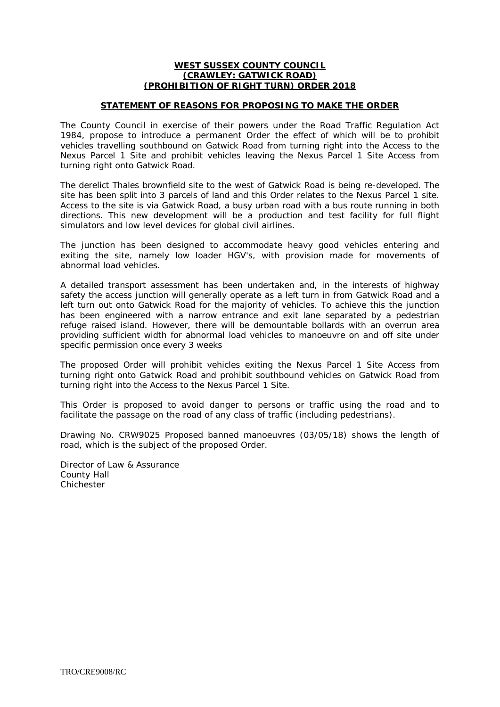#### **WEST SUSSEX COUNTY COUNCIL (CRAWLEY: GATWICK ROAD) (PROHIBITION OF RIGHT TURN) ORDER 2018**

#### **STATEMENT OF REASONS FOR PROPOSING TO MAKE THE ORDER**

The County Council in exercise of their powers under the Road Traffic Regulation Act 1984, propose to introduce a permanent Order the effect of which will be to prohibit vehicles travelling southbound on Gatwick Road from turning right into the Access to the Nexus Parcel 1 Site and prohibit vehicles leaving the Nexus Parcel 1 Site Access from turning right onto Gatwick Road.

The derelict Thales brownfield site to the west of Gatwick Road is being re-developed. The site has been split into 3 parcels of land and this Order relates to the Nexus Parcel 1 site. Access to the site is via Gatwick Road, a busy urban road with a bus route running in both directions. This new development will be a production and test facility for full flight simulators and low level devices for global civil airlines.

The junction has been designed to accommodate heavy good vehicles entering and exiting the site, namely low loader HGV's, with provision made for movements of abnormal load vehicles.

A detailed transport assessment has been undertaken and, in the interests of highway safety the access junction will generally operate as a left turn in from Gatwick Road and a left turn out onto Gatwick Road for the majority of vehicles. To achieve this the junction has been engineered with a narrow entrance and exit lane separated by a pedestrian refuge raised island. However, there will be demountable bollards with an overrun area providing sufficient width for abnormal load vehicles to manoeuvre on and off site under specific permission once every 3 weeks

The proposed Order will prohibit vehicles exiting the Nexus Parcel 1 Site Access from turning right onto Gatwick Road and prohibit southbound vehicles on Gatwick Road from turning right into the Access to the Nexus Parcel 1 Site.

This Order is proposed to avoid danger to persons or traffic using the road and to facilitate the passage on the road of any class of traffic (including pedestrians).

Drawing No. CRW9025 Proposed banned manoeuvres (03/05/18) shows the length of road, which is the subject of the proposed Order.

Director of Law & Assurance County Hall Chichester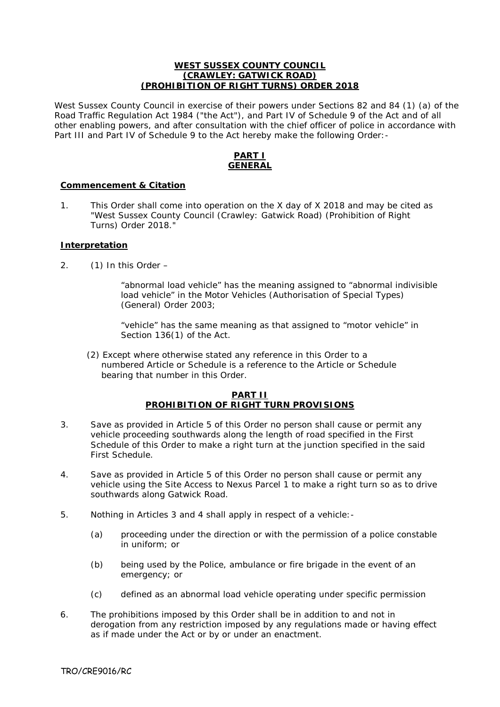#### **WEST SUSSEX COUNTY COUNCIL (CRAWLEY: GATWICK ROAD) (PROHIBITION OF RIGHT TURNS) ORDER 2018**

West Sussex County Council in exercise of their powers under Sections 82 and 84 (1) (a) of the Road Traffic Regulation Act 1984 ("the Act"), and Part IV of Schedule 9 of the Act and of all other enabling powers, and after consultation with the chief officer of police in accordance with Part III and Part IV of Schedule 9 to the Act hereby make the following Order: -

### **PART I GENERAL**

#### **Commencement & Citation**

1. This Order shall come into operation on the X day of X 2018 and may be cited as "West Sussex County Council (Crawley: Gatwick Road) (Prohibition of Right Turns) Order 2018."

#### **Interpretation**

2. (1) In this Order –

"abnormal load vehicle" has the meaning assigned to "abnormal indivisible load vehicle" in the Motor Vehicles (Authorisation of Special Types) (General) Order 2003;

"vehicle" has the same meaning as that assigned to "motor vehicle" in Section 136(1) of the Act.

 (2) Except where otherwise stated any reference in this Order to a numbered Article or Schedule is a reference to the Article or Schedule bearing that number in this Order.

#### **PART II PROHIBITION OF RIGHT TURN PROVISIONS**

- 3. Save as provided in Article 5 of this Order no person shall cause or permit any vehicle proceeding southwards along the length of road specified in the First Schedule of this Order to make a right turn at the junction specified in the said First Schedule.
- 4. Save as provided in Article 5 of this Order no person shall cause or permit any vehicle using the Site Access to Nexus Parcel 1 to make a right turn so as to drive southwards along Gatwick Road.
- 5. Nothing in Articles 3 and 4 shall apply in respect of a vehicle:-
	- (a) proceeding under the direction or with the permission of a police constable in uniform; or
	- (b) being used by the Police, ambulance or fire brigade in the event of an emergency; or
	- (c) defined as an abnormal load vehicle operating under specific permission
- 6. The prohibitions imposed by this Order shall be in addition to and not in derogation from any restriction imposed by any regulations made or having effect as if made under the Act or by or under an enactment.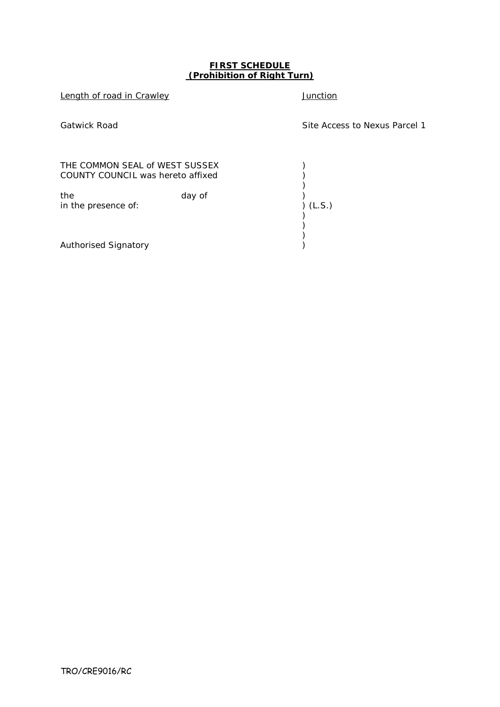#### **FIRST SCHEDULE (Prohibition of Right Turn)**

Length of road in Crawley **Access 10 and 10** and 10 and 10 and 10 and 10 and 10 and 10 and 10 and 10 and 10 and 10 and 10 and 10 and 10 and 10 and 10 and 10 and 10 and 10 and 10 and 10 and 10 and 10 and 10 and 10 and 10 an Gatwick Road Site Access to Nexus Parcel 1 THE COMMON SEAL of WEST SUSSEX )<br>COUNTY COUNCIL was hereto affixed ( ) COUNTY COUNCIL was hereto affixed ) )<br>)<br>) (L.S.) the day of in the presence of: ) ) ) Authorised Signatory )